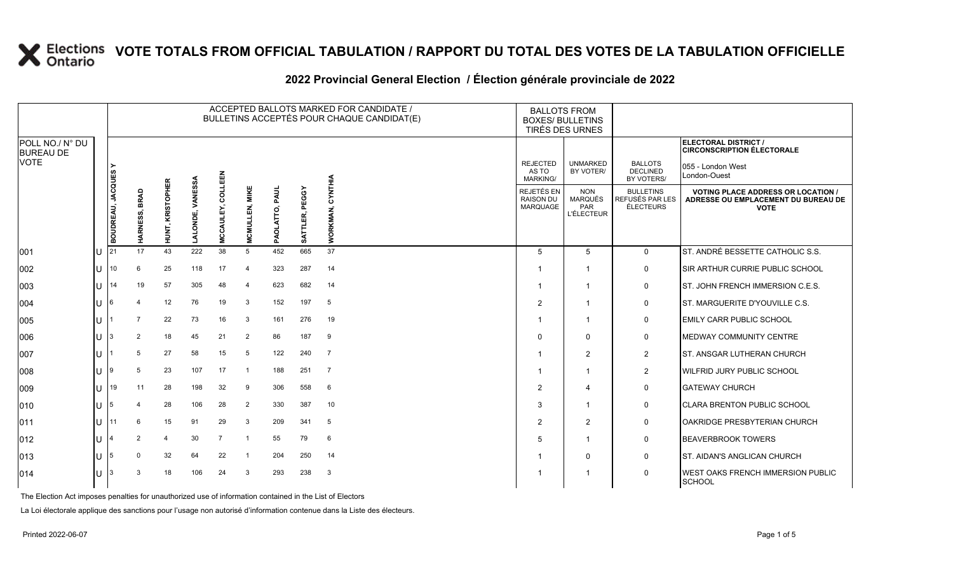|                                     |     |                          |                       |                  |                          |                                      |                          |                   |                       | ACCEPTED BALLOTS MARKED FOR CANDIDATE /<br>BULLETINS ACCEPTÉS POUR CHAQUE CANDIDAT(E) | <b>BALLOTS FROM</b><br><b>BOXES/ BULLETINS</b><br>TIRÉS DES URNES |                                                          |                                                         |                                                                                                 |
|-------------------------------------|-----|--------------------------|-----------------------|------------------|--------------------------|--------------------------------------|--------------------------|-------------------|-----------------------|---------------------------------------------------------------------------------------|-------------------------------------------------------------------|----------------------------------------------------------|---------------------------------------------------------|-------------------------------------------------------------------------------------------------|
| POLL NO./ N° DU<br><b>BUREAU DE</b> |     |                          |                       |                  |                          |                                      |                          |                   |                       |                                                                                       |                                                                   |                                                          |                                                         | ELECTORAL DISTRICT /<br><b>CIRCONSCRIPTION ÉLECTORALE</b>                                       |
| VOTE                                |     |                          |                       |                  |                          |                                      |                          |                   |                       |                                                                                       | <b>REJECTED</b><br>AS TO<br>MARKING/                              | <b>UNMARKED</b><br>BY VOTER/                             | <b>BALLOTS</b><br><b>DECLINED</b><br>BY VOTERS/         | 055 - London West<br>London-Ouest                                                               |
|                                     |     | <b>BOUDREAU, JACQUES</b> | BRAD<br>ESS,<br>HARNE | HUNT, KRISTOPHER | VANESSA<br><b>ALONDE</b> | COLLEEN<br><u>ኢ</u><br><b>MCCAUL</b> | <b>MIKE</b><br>MCMULLEN, | PAUL<br>PAOLATTO, | PEGGY<br>TLER,<br>5AT | CYNTHIA<br>WORKMAN,                                                                   | REJETÉS EN<br><b>RAISON DU</b><br>MARQUAGE                        | <b>NON</b><br><b>MARQUÉS</b><br>PAR<br><b>L'ÉLECTEUR</b> | <b>BULLETINS</b><br>REFUSÉS PAR LES<br><b>ÉLECTEURS</b> | <b>VOTING PLACE ADDRESS OR LOCATION /</b><br>ADRESSE OU EMPLACEMENT DU BUREAU DE<br><b>VOTE</b> |
| 001                                 | IU  | I21                      | 17                    | 43               | 222                      | 38                                   | 5                        | 452               | 665                   | 37                                                                                    | 5                                                                 | 5                                                        | $\mathbf 0$                                             | ST. ANDRÉ BESSETTE CATHOLIC S.S.                                                                |
| 002                                 | IU. | 10                       | 6                     | 25               | 118                      | 17                                   | $\overline{4}$           | 323               | 287                   | 14                                                                                    |                                                                   |                                                          | 0                                                       | <b>SIR ARTHUR CURRIE PUBLIC SCHOOL</b>                                                          |
| 003                                 | U   | 14                       | 19                    | 57               | 305                      | 48                                   | 4                        | 623               | 682                   | 14                                                                                    | -1                                                                | $\overline{\mathbf{1}}$                                  | $\mathbf 0$                                             | ST. JOHN FRENCH IMMERSION C.E.S.                                                                |
| 004                                 | IU  | 16                       | 4                     | 12               | 76                       | 19                                   | $\mathbf{3}$             | 152               | 197                   | - 5                                                                                   | 2                                                                 | $\overline{\mathbf{1}}$                                  | 0                                                       | ST. MARGUERITE D'YOUVILLE C.S.                                                                  |
| 005                                 | ПJ  |                          | 7                     | 22               | 73                       | 16                                   | $\mathbf{3}$             | 161               | 276                   | 19                                                                                    | -1                                                                | $\overline{\mathbf{1}}$                                  | 0                                                       | <b>EMILY CARR PUBLIC SCHOOL</b>                                                                 |
| 006                                 | IU. |                          | $\overline{2}$        | 18               | 45                       | 21                                   | 2                        | 86                | 187                   | 9                                                                                     | $\Omega$                                                          | $\Omega$                                                 | 0                                                       | <b>MEDWAY COMMUNITY CENTRE</b>                                                                  |
| 007                                 | IU  |                          | 5                     | 27               | 58                       | 15                                   | -5                       | 122               | 240                   | $\overline{7}$                                                                        |                                                                   | $\overline{2}$                                           | $\overline{2}$                                          | <b>ST. ANSGAR LUTHERAN CHURCH</b>                                                               |
| 008                                 | ЦJ  |                          | 5                     | 23               | 107                      | 17                                   | $\overline{1}$           | 188               | 251                   | $\overline{7}$                                                                        | -1                                                                | $\overline{\mathbf{1}}$                                  | $\overline{2}$                                          | <b>WILFRID JURY PUBLIC SCHOOL</b>                                                               |
| 009                                 | ПJ  | 19                       | 11                    | 28               | 198                      | 32                                   | 9                        | 306               | 558                   | 6                                                                                     | 2                                                                 | $\overline{4}$                                           | 0                                                       | <b>GATEWAY CHURCH</b>                                                                           |
| 010                                 | IU. | 15                       | $\overline{4}$        | 28               | 106                      | 28                                   | 2                        | 330               | 387                   | 10                                                                                    | 3                                                                 |                                                          | 0                                                       | <b>CLARA BRENTON PUBLIC SCHOOL</b>                                                              |
| 011                                 | lU. |                          | 6                     | 15               | 91                       | 29                                   | 3                        | 209               | 341                   | 5                                                                                     | 2                                                                 | $\overline{2}$                                           | 0                                                       | OAKRIDGE PRESBYTERIAN CHURCH                                                                    |
| 012                                 | ЦJ  |                          | 2                     | 4                | 30                       | $\overline{7}$                       | $\overline{1}$           | 55                | 79                    | 6                                                                                     | 5                                                                 | $\overline{\mathbf{1}}$                                  | 0                                                       | <b>BEAVERBROOK TOWERS</b>                                                                       |
| 013                                 | ЦJ  | 15                       | $\mathbf 0$           | 32               | 64                       | 22                                   | -1                       | 204               | 250                   | 14                                                                                    | -1                                                                | $\mathbf 0$                                              | $\mathbf 0$                                             | <b>ST. AIDAN'S ANGLICAN CHURCH</b>                                                              |
| 014                                 | IU. |                          | 3                     | 18               | 106                      | 24                                   | 3                        | 293               | 238                   | $\mathbf{3}$                                                                          |                                                                   |                                                          | $\mathbf 0$                                             | WEST OAKS FRENCH IMMERSION PUBLIC<br><b>SCHOOL</b>                                              |

### **2022 Provincial General Election / Élection générale provinciale de 2022**

The Election Act imposes penalties for unauthorized use of information contained in the List of Electors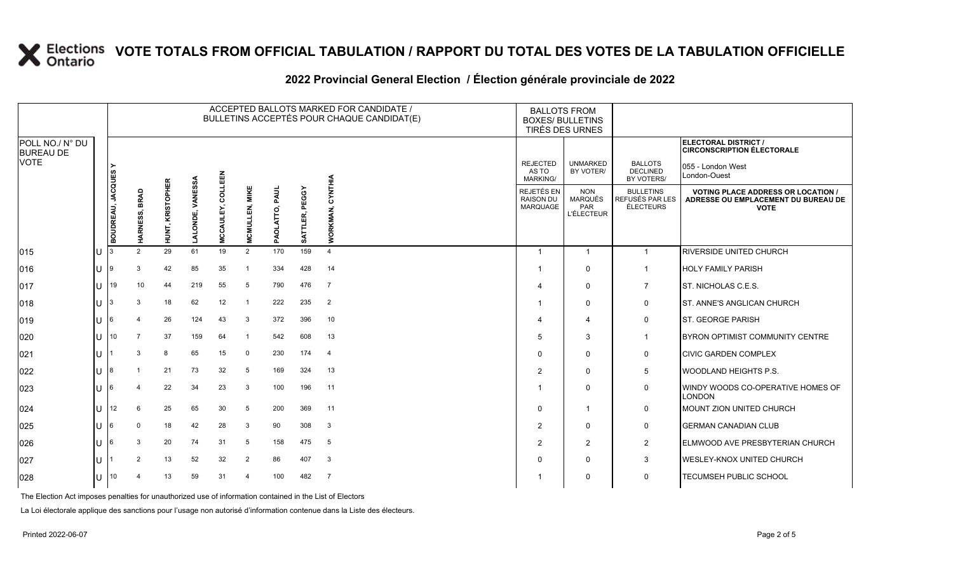|                                     |     |                          |                         |                  |                     |                                |                       |                |                       | ACCEPTED BALLOTS MARKED FOR CANDIDATE /<br>BULLETINS ACCEPTÉS POUR CHAQUE CANDIDAT(E) |                                            | <b>BALLOTS FROM</b><br><b>BOXES/ BULLETINS</b><br>TIRÉS DES URNES |                                                         |                                                                                                 |
|-------------------------------------|-----|--------------------------|-------------------------|------------------|---------------------|--------------------------------|-----------------------|----------------|-----------------------|---------------------------------------------------------------------------------------|--------------------------------------------|-------------------------------------------------------------------|---------------------------------------------------------|-------------------------------------------------------------------------------------------------|
| POLL NO./ N° DU<br><b>BUREAU DE</b> |     |                          |                         |                  |                     |                                |                       |                |                       |                                                                                       |                                            |                                                                   |                                                         | ELECTORAL DISTRICT /<br><b>CIRCONSCRIPTION ÉLECTORALE</b>                                       |
| VOTE                                |     | <b>BOUDREAU, JACQUES</b> |                         |                  |                     |                                |                       |                |                       |                                                                                       | <b>REJECTED</b><br>AS TO<br>MARKING/       | <b>UNMARKED</b><br>BY VOTER/                                      | <b>BALLOTS</b><br><b>DECLINED</b><br>BY VOTERS/         | 055 - London West<br>London-Ouest                                                               |
|                                     |     |                          | <b>BRAD</b><br>HARNESS, | HUNT, KRISTOPHER | VANESSA<br>LALONDE, | COLLEEN<br>ξ.<br><b>MCCAUL</b> | <b>MCMULLEN, MIKE</b> | PAOLATTO, PAUL | PEGGY<br>TLER,<br>SАТ | CYNTHIA<br>WORKMAN,                                                                   | REJETÉS EN<br><b>RAISON DU</b><br>MARQUAGE | <b>NON</b><br><b>MARQUÉS</b><br>PAR<br><b>L'ÉLECTEUR</b>          | <b>BULLETINS</b><br>REFUSÉS PAR LES<br><b>ÉLECTEURS</b> | <b>VOTING PLACE ADDRESS OR LOCATION /</b><br>ADRESSE OU EMPLACEMENT DU BUREAU DE<br><b>VOTE</b> |
| 015                                 | IU  |                          | 2                       | 29               | 61                  | 19                             | 2                     | 170            | 159                   | $\overline{4}$                                                                        | $\overline{1}$                             | $\overline{1}$                                                    | $\mathbf{1}$                                            | <b>RIVERSIDE UNITED CHURCH</b>                                                                  |
| 016                                 | IU  | 19                       | 3                       | 42               | 85                  | 35                             |                       | 334            | 428                   | 14                                                                                    | -1                                         | $\Omega$                                                          | $\mathbf{1}$                                            | <b>HOLY FAMILY PARISH</b>                                                                       |
| 017                                 | ΙU  | 19                       | 10                      | 44               | 219                 | 55                             | -5                    | 790            | 476                   | $\overline{7}$                                                                        | 4                                          | $\mathbf 0$                                                       | $\overline{7}$                                          | ST. NICHOLAS C.E.S.                                                                             |
| 018                                 | ПJ  |                          | 3                       | 18               | 62                  | 12                             |                       | 222            | 235                   | $\overline{2}$                                                                        |                                            | $\Omega$                                                          | $\mathbf 0$                                             | <b>ST. ANNE'S ANGLICAN CHURCH</b>                                                               |
| 019                                 | IU  | 16                       | $\overline{4}$          | 26               | 124                 | 43                             | 3                     | 372            | 396                   | 10                                                                                    | 4                                          | $\overline{4}$                                                    | 0                                                       | <b>ST. GEORGE PARISH</b>                                                                        |
| 020                                 | IU. |                          | $\overline{7}$          | 37               | 159                 | 64                             | -1                    | 542            | 608                   | 13                                                                                    | 5                                          | 3                                                                 | $\mathbf{1}$                                            | BYRON OPTIMIST COMMUNITY CENTRE                                                                 |
| 021                                 | IU. |                          | 3                       | 8                | 65                  | 15                             | $\mathbf 0$           | 230            | 174                   | $\overline{4}$                                                                        | $\Omega$                                   | $\mathbf 0$                                                       | 0                                                       | <b>CIVIC GARDEN COMPLEX</b>                                                                     |
| 022                                 | IU  | 18                       |                         | 21               | 73                  | 32                             | 5                     | 169            | 324                   | 13                                                                                    | $\mathfrak{p}$                             | $\Omega$                                                          | 5                                                       | <b>WOODLAND HEIGHTS P.S.</b>                                                                    |
| 023                                 | IU  | 16                       | 4                       | 22               | 34                  | 23                             | $\mathbf{3}$          | 100            | 196                   | 11                                                                                    | -1                                         | $\mathbf 0$                                                       | 0                                                       | WINDY WOODS CO-OPERATIVE HOMES OF<br><b>LONDON</b>                                              |
| 024                                 | ЦJ  | 12                       | 6                       | 25               | 65                  | 30                             | 5                     | 200            | 369                   | 11                                                                                    | $\Omega$                                   | $\overline{\mathbf{1}}$                                           | 0                                                       | <b>MOUNT ZION UNITED CHURCH</b>                                                                 |
| 025                                 | IU. | 16                       | $\Omega$                | 18               | 42                  | 28                             | 3                     | 90             | 308                   | $\mathbf{3}$                                                                          | 2                                          | $\Omega$                                                          | 0                                                       | <b>GERMAN CANADIAN CLUB</b>                                                                     |
| 026                                 | IU  | 16                       | 3                       | 20               | 74                  | 31                             | 5                     | 158            | 475                   | 5                                                                                     | $\overline{2}$                             | $\overline{2}$                                                    | 2                                                       | ELMWOOD AVE PRESBYTERIAN CHURCH                                                                 |
| 027                                 | IU  |                          | $\overline{2}$          | 13               | 52                  | 32                             | 2                     | 86             | 407                   | $\mathbf{3}$                                                                          | $\Omega$                                   | $\Omega$                                                          | 3                                                       | <b>WESLEY-KNOX UNITED CHURCH</b>                                                                |
| 028                                 | ΙU  | 10                       | 4                       | 13               | 59                  | 31                             | $\overline{a}$        | 100            | 482                   | $\overline{7}$                                                                        |                                            | $\Omega$                                                          | 0                                                       | <b>TECUMSEH PUBLIC SCHOOL</b>                                                                   |
|                                     |     |                          |                         |                  |                     |                                |                       |                |                       |                                                                                       |                                            |                                                                   |                                                         |                                                                                                 |

### **2022 Provincial General Election / Élection générale provinciale de 2022**

The Election Act imposes penalties for unauthorized use of information contained in the List of Electors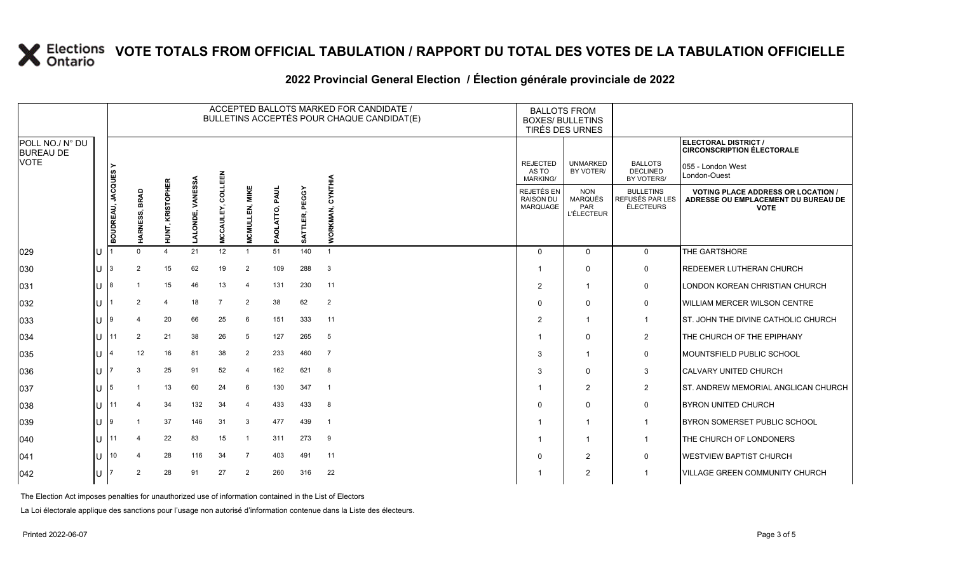|                                     |                          |    |                  |                  |                          |                      |                                 |                   |                   | ACCEPTED BALLOTS MARKED FOR CANDIDATE /<br>BULLETINS ACCEPTÉS POUR CHAQUE CANDIDAT(E) |                                                          | <b>BALLOTS FROM</b><br><b>BOXES/ BULLETINS</b><br>TIRÉS DES URNES |                                                         |                                                                                                 |
|-------------------------------------|--------------------------|----|------------------|------------------|--------------------------|----------------------|---------------------------------|-------------------|-------------------|---------------------------------------------------------------------------------------|----------------------------------------------------------|-------------------------------------------------------------------|---------------------------------------------------------|-------------------------------------------------------------------------------------------------|
| POLL NO./ N° DU<br><b>BUREAU DE</b> |                          |    |                  |                  |                          |                      |                                 |                   |                   |                                                                                       |                                                          |                                                                   |                                                         | ELECTORAL DISTRICT /<br><b>CIRCONSCRIPTION ÉLECTORALE</b>                                       |
| <b>VOTE</b>                         |                          |    |                  |                  |                          |                      |                                 |                   |                   |                                                                                       | <b>REJECTED</b><br>AS TO<br><b>MARKING/</b>              | <b>UNMARKED</b><br>BY VOTER/                                      | <b>BALLOTS</b><br><b>DECLINED</b><br><b>BY VOTERS/</b>  | 055 - London West<br>London-Ouest                                                               |
|                                     | <b>BOUDREAU, JACQUES</b> |    | BRAD<br>HARNESS, | HUNT, KRISTOPHER | VANESSA<br><b>LALOND</b> | COLLEEN<br>MCCAULEY, | <b>MIKE</b><br><b>MCMULLEN,</b> | PAUL<br>PAOLATTO, | PEGGY<br>SATTLER, | CYNTHIA<br>WORKMAN,                                                                   | <b>REJETÉS EN</b><br><b>RAISON DU</b><br><b>MARQUAGE</b> | <b>NON</b><br><b>MARQUÉS</b><br><b>PAR</b><br><b>L'ÉLECTEUR</b>   | <b>BULLETINS</b><br>REFUSÉS PAR LES<br><b>ÉLECTEURS</b> | <b>VOTING PLACE ADDRESS OR LOCATION /</b><br>ADRESSE OU EMPLACEMENT DU BUREAU DE<br><b>VOTE</b> |
| 029                                 | ЦJ                       |    | $\Omega$         | 4                | 21                       | 12                   | $\overline{1}$                  | 51                | 140               | $\overline{1}$                                                                        | $\Omega$                                                 | $\mathbf{0}$                                                      | $\mathbf{0}$                                            | THE GARTSHORE                                                                                   |
| 030                                 | IU.                      | 13 | 2                | 15               | 62                       | 19                   | $\overline{2}$                  | 109               | 288               | $\mathbf{3}$                                                                          | -1                                                       | $\mathbf{0}$                                                      | 0                                                       | <b>REDEEMER LUTHERAN CHURCH</b>                                                                 |
| 031                                 | IU.                      | 18 |                  | 15               | 46                       | 13                   | $\overline{a}$                  | 131               | 230               | 11                                                                                    | 2                                                        |                                                                   | 0                                                       | LONDON KOREAN CHRISTIAN CHURCH                                                                  |
| 032                                 |                          |    | 2                | 4                | 18                       | $\overline{7}$       | $\overline{2}$                  | 38                | 62                | $\overline{2}$                                                                        | $\Omega$                                                 | $\mathbf{0}$                                                      | 0                                                       | <b>WILLIAM MERCER WILSON CENTRE</b>                                                             |
| 033                                 | ЦJ                       |    | $\overline{4}$   | 20               | 66                       | 25                   | 6                               | 151               | 333               | 11                                                                                    | 2                                                        | -1                                                                | $\mathbf{1}$                                            | <b>ST. JOHN THE DIVINE CATHOLIC CHURCH</b>                                                      |
| 034                                 | U                        |    | $\overline{2}$   | 21               | 38                       | 26                   | 5                               | 127               | 265               | 5                                                                                     | -1                                                       | $\Omega$                                                          | $\overline{2}$                                          | THE CHURCH OF THE EPIPHANY                                                                      |
| 035                                 |                          |    | 12               | 16               | 81                       | 38                   | $\overline{2}$                  | 233               | 460               | $\overline{7}$                                                                        | 3                                                        | -1                                                                | 0                                                       | <b>IMOUNTSFIELD PUBLIC SCHOOL</b>                                                               |
| 036                                 | IU.                      |    | 3                | 25               | 91                       | 52                   | $\overline{4}$                  | 162               | 621               | - 8                                                                                   | 3                                                        | $\mathbf 0$                                                       | 3                                                       | <b>CALVARY UNITED CHURCH</b>                                                                    |
| 037                                 | U                        | 15 |                  | 13               | 60                       | 24                   | 6                               | 130               | 347               | $\overline{1}$                                                                        | -1                                                       | 2                                                                 | $\overline{2}$                                          | <b>ST. ANDREW MEMORIAL ANGLICAN CHURCH</b>                                                      |
| 038                                 | U                        |    | 4                | 34               | 132                      | 34                   | $\overline{4}$                  | 433               | 433               | 8                                                                                     | $\Omega$                                                 | $\mathbf{0}$                                                      | 0                                                       | <b>BYRON UNITED CHURCH</b>                                                                      |
| 039                                 |                          | 19 |                  | 37               | 146                      | 31                   | 3                               | 477               | 439               | $\overline{1}$                                                                        | -1                                                       | -1                                                                | $\mathbf 1$                                             | BYRON SOMERSET PUBLIC SCHOOL                                                                    |
| 040                                 | lU.                      |    | $\mathbf 4$      | 22               | 83                       | 15                   |                                 | 311               | 273               | 9                                                                                     | -1                                                       |                                                                   | $\overline{\mathbf{1}}$                                 | THE CHURCH OF LONDONERS                                                                         |
| 041                                 |                          | 10 | 4                | 28               | 116                      | 34                   | $\overline{7}$                  | 403               | 491               | 11                                                                                    | $\Omega$                                                 | $\overline{2}$                                                    | $\mathbf 0$                                             | <b>WESTVIEW BAPTIST CHURCH</b>                                                                  |
| 042                                 | IU.                      |    | $\overline{2}$   | 28               | 91                       | 27                   | $\overline{2}$                  | 260               | 316               | 22                                                                                    |                                                          | $\overline{2}$                                                    | -1                                                      | <b>VILLAGE GREEN COMMUNITY CHURCH</b>                                                           |
|                                     |                          |    |                  |                  |                          |                      |                                 |                   |                   |                                                                                       |                                                          |                                                                   |                                                         |                                                                                                 |

### **2022 Provincial General Election / Élection générale provinciale de 2022**

The Election Act imposes penalties for unauthorized use of information contained in the List of Electors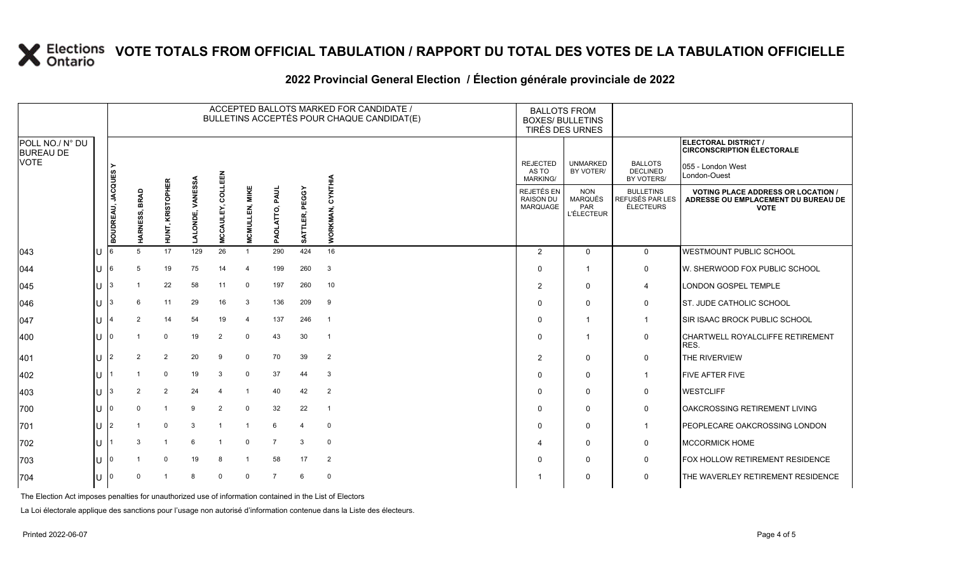|                                     |                          |    |                         |                  |                     |                      |                          |                |                       | ACCEPTED BALLOTS MARKED FOR CANDIDATE /<br>BULLETINS ACCEPTÉS POUR CHAQUE CANDIDAT(E) |       | <b>BALLOTS FROM</b><br><b>BOXES/ BULLETINS</b><br>TIRÉS DES URNES |                                                          |                                                         |                                                                                                 |
|-------------------------------------|--------------------------|----|-------------------------|------------------|---------------------|----------------------|--------------------------|----------------|-----------------------|---------------------------------------------------------------------------------------|-------|-------------------------------------------------------------------|----------------------------------------------------------|---------------------------------------------------------|-------------------------------------------------------------------------------------------------|
| POLL NO./ N° DU<br><b>BUREAU DE</b> |                          |    |                         |                  |                     |                      |                          |                |                       |                                                                                       |       |                                                                   |                                                          |                                                         | ELECTORAL DISTRICT /<br><b>CIRCONSCRIPTION ÉLECTORALE</b>                                       |
| <b>VOTE</b>                         |                          |    |                         |                  |                     |                      |                          |                |                       |                                                                                       | AS TO | <b>REJECTED</b><br>MARKING/                                       | <b>UNMARKED</b><br>BY VOTER/                             | <b>BALLOTS</b><br><b>DECLINED</b><br>BY VOTERS/         | 055 - London West<br>London-Ouest                                                               |
|                                     | <b>BOUDREAU, JACQUES</b> |    | <b>BRAD</b><br>HARNESS, | HUNT, KRISTOPHER | VANESSA<br>LALONDE, | COLLEEN<br>MCCAULEY, | <b>MIKE</b><br>MCMULLEN, | PAOLATTO, PAUL | PEGGY<br>TLER,<br>5AT | CYNTHIA<br>WORKMAN,                                                                   |       | REJETÉS EN<br><b>RAISON DU</b><br>MARQUAGE                        | <b>NON</b><br><b>MARQUÉS</b><br>PAR<br><b>L'ÉLECTEUR</b> | <b>BULLETINS</b><br>REFUSÉS PAR LES<br><b>ÉLECTEURS</b> | <b>VOTING PLACE ADDRESS OR LOCATION /</b><br>ADRESSE OU EMPLACEMENT DU BUREAU DE<br><b>VOTE</b> |
| 043                                 | IU.                      | 16 | 5                       | 17               | 129                 | 26                   | -1                       | 290            | 424                   | 16                                                                                    |       | 2                                                                 | $\Omega$                                                 | $\mathbf{0}$                                            | <b>WESTMOUNT PUBLIC SCHOOL</b>                                                                  |
| 044                                 | IU                       | 16 | 5                       | 19               | 75                  | 14                   | $\overline{4}$           | 199            | 260                   | 3                                                                                     |       | $\mathbf{0}$                                                      | $\overline{\mathbf{1}}$                                  | 0                                                       | W. SHERWOOD FOX PUBLIC SCHOOL                                                                   |
| 045                                 | IU.                      | 13 |                         | 22               | 58                  | 11                   | $\mathbf 0$              | 197            | 260                   | 10                                                                                    |       | $\mathfrak{p}$                                                    | $\Omega$                                                 | 4                                                       | LONDON GOSPEL TEMPLE                                                                            |
| 046                                 | IU.                      | 13 | 6                       | 11               | 29                  | 16                   | $\mathbf{3}$             | 136            | 209                   | 9                                                                                     |       | $\Omega$                                                          | $\Omega$                                                 | 0                                                       | <b>ST. JUDE CATHOLIC SCHOOL</b>                                                                 |
| 047                                 | Iυ                       |    | 2                       | 14               | 54                  | 19                   | 4                        | 137            | 246                   | $\overline{1}$                                                                        |       | $\mathbf{0}$                                                      | $\overline{\mathbf{1}}$                                  | $\mathbf{1}$                                            | SIR ISAAC BROCK PUBLIC SCHOOL                                                                   |
| 400                                 | IU.                      |    |                         | $\mathbf 0$      | 19                  | 2                    | $\mathbf 0$              | 43             | 30                    | $\overline{1}$                                                                        |       | $\Omega$                                                          | $\overline{\mathbf{1}}$                                  | $\mathbf 0$                                             | CHARTWELL ROYALCLIFFE RETIREMENT<br>RES.                                                        |
| 401                                 | IU.                      |    | $\overline{2}$          | 2                | 20                  | 9                    | $\mathbf 0$              | 70             | 39                    | $\overline{2}$                                                                        |       | $\overline{2}$                                                    | $\mathbf 0$                                              | 0                                                       | <b>THE RIVERVIEW</b>                                                                            |
| 402                                 | ΙU                       |    |                         | 0                | 19                  | 3                    | $\mathbf 0$              | 37             | 44                    | 3                                                                                     |       | $\mathbf{0}$                                                      | $\mathbf 0$                                              | $\mathbf{1}$                                            | <b>FIVE AFTER FIVE</b>                                                                          |
| 403                                 | IU                       | 13 | $\overline{2}$          | $\overline{2}$   | 24                  | $\overline{4}$       | -1                       | 40             | 42                    | $\overline{2}$                                                                        |       | $\mathbf{0}$                                                      | $\Omega$                                                 | 0                                                       | <b>WESTCLIFF</b>                                                                                |
| 700                                 | ЦJ                       |    | $\Omega$                | -1               | 9                   | $\overline{2}$       | $\mathbf 0$              | 32             | 22                    | $\overline{1}$                                                                        |       | $\Omega$                                                          | $\mathbf 0$                                              | 0                                                       | OAKCROSSING RETIREMENT LIVING                                                                   |
| 701                                 | IU.                      |    |                         | 0                | 3                   |                      |                          | 6              | $\overline{4}$        | $\mathbf 0$                                                                           |       | $\Omega$                                                          | $\mathbf 0$                                              | $\mathbf{1}$                                            | PEOPLECARE OAKCROSSING LONDON                                                                   |
| 702                                 | IU                       |    | 3                       | -1               | 6                   |                      | $\mathbf 0$              | $\overline{7}$ | 3                     | $\mathbf 0$                                                                           |       | 4                                                                 | $\mathbf 0$                                              | 0                                                       | <b>MCCORMICK HOME</b>                                                                           |
| 703                                 | ЦJ                       |    |                         | 0                | 19                  | 8                    |                          | 58             | 17                    | 2                                                                                     |       | $\Omega$                                                          | $\Omega$                                                 | 0                                                       | FOX HOLLOW RETIREMENT RESIDENCE                                                                 |
| 704                                 | ΙU                       |    | $\Omega$                | -1               | 8                   | $\mathbf 0$          | $\mathbf 0$              | $\overline{7}$ | 6                     | 0                                                                                     |       |                                                                   | $\Omega$                                                 | 0                                                       | THE WAVERLEY RETIREMENT RESIDENCE                                                               |
|                                     |                          |    |                         |                  |                     |                      |                          |                |                       |                                                                                       |       |                                                                   |                                                          |                                                         |                                                                                                 |

### **2022 Provincial General Election / Élection générale provinciale de 2022**

The Election Act imposes penalties for unauthorized use of information contained in the List of Electors